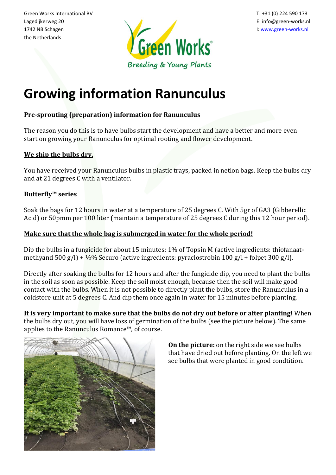the Netherlands



# **Growing information Ranunculus**

# **Pre-sprouting (preparation) information for Ranunculus**

The reason you do this is to have bulbs start the development and have a better and more even start on growing your Ranunculus for optimal rooting and flower development.

# **We ship the bulbs dry.**

You have received your Ranunculus bulbs in plastic trays, packed in netlon bags. Keep the bulbs dry and at 21 degrees C with a ventilator.

# **Butterfly™ series**

Soak the bags for 12 hours in water at a temperature of 25 degrees C. With 5gr of GA3 (Gibberellic Acid) or 50pmm per 100 liter (maintain a temperature of 25 degrees C during this 12 hour period).

# **Make sure that the whole bag is submerged in water for the whole period!**

Dip the bulbs in a fungicide for about 15 minutes: 1% of Topsin M (active ingredients: thiofanaatmethyand 500 g/l) +  $\frac{1}{2}\%$  Securo (active ingredients: pyraclostrobin 100 g/l + folpet 300 g/l).

Directly after soaking the bulbs for 12 hours and after the fungicide dip, you need to plant the bulbs in the soil as soon as possible. Keep the soil moist enough, because then the soil will make good contact with the bulbs. When it is not possible to directly plant the bulbs, store the Ranunculus in a coldstore unit at 5 degrees C. And dip them once again in water for 15 minutes before planting.

**It is very important to make sure that the bulbs do not dry out before or after planting!** When the bulbs dry out, you will have loss of germination of the bulbs (see the picture below). The same applies to the Ranunculus Romance™, of course.



**On the picture:** on the right side we see bulbs that have dried out before planting. On the left we see bulbs that were planted in good condtition.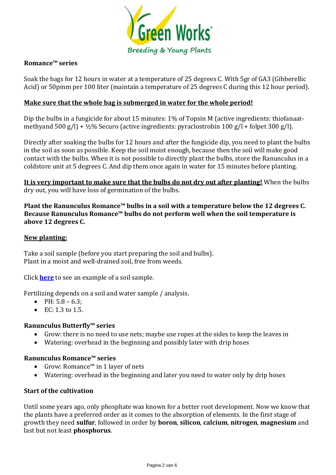

## **Romance™ series**

Soak the bags for 12 hours in water at a temperature of 25 degrees C. With 5gr of GA3 (Gibberellic Acid) or 50pmm per 100 liter (maintain a temperature of 25 degrees C during this 12 hour period).

## **Make sure that the whole bag is submerged in water for the whole period!**

Dip the bulbs in a fungicide for about 15 minutes: 1% of Topsin M (active ingredients: thiofanaatmethyand 500 g/l) + ½% Securo (active ingredients: pyraclostrobin 100 g/l + folpet 300 g/l).

Directly after soaking the bulbs for 12 hours and after the fungicide dip, you need to plant the bulbs in the soil as soon as possible. Keep the soil moist enough, because then the soil will make good contact with the bulbs. When it is not possible to directly plant the bulbs, store the Ranunculus in a coldstore unit at 5 degrees C. And dip them once again in water for 15 minutes before planting.

**It is very important to make sure that the bulbs do not dry out after planting!** When the bulbs dry out, you will have loss of germination of the bulbs.

**Plant the Ranunculus Romance™ bulbs in a soil with a temperature below the 12 degrees C. Because Ranunculus Romance™ bulbs do not perform well when the soil temperature is above 12 degrees C.**

#### **New planting:**

Take a soil sample (before you start preparing the soil and bulbs). Plant in a moist and well-drained soil, free from weeds.

Click **[here](https://www.green-works.nl/site/assets/files/10616/soilsample.pdf)** to see an example of a soil sample.

Fertilizing depends on a soil and water sample / analysis.

- PH:  $5.8 6.3$ ;
- EC: 1.3 to 1.5.

## **Ranunculus Butterfly™ series**

- Grow: there is no need to use nets; maybe use ropes at the sides to keep the leaves in
- Watering: overhead in the beginning and possibly later with drip hoses

#### **Ranunculus Romance™ series**

- Grow: Romance™ in 1 layer of nets
- Watering: overhead in the beginning and later you need to water only by drip hoses

#### **Start of the cultivation**

Until some years ago, only phosphate was known for a better root development. Now we know that the plants have a preferred order as it comes to the absorption of elements. In the first stage of growth they need **sulfur**, followed in order by **boron**, **silicon**, **calcium**, **nitrogen**, **magnesium** and last but not least **phosphorus**.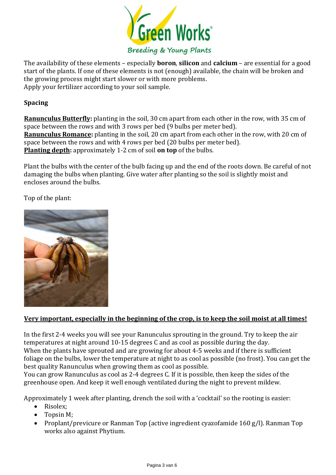

The availability of these elements – especially **boron**, **silicon** and **calcium** – are essential for a good start of the plants. If one of these elements is not (enough) available, the chain will be broken and the growing process might start slower or with more problems. Apply your fertilizer according to your soil sample.

# **Spacing**

**Ranunculus Butterfly:** planting in the soil, 30 cm apart from each other in the row, with 35 cm of space between the rows and with 3 rows per bed (9 bulbs per meter bed). **Ranunculus Romance:** planting in the soil, 20 cm apart from each other in the row, with 20 cm of space between the rows and with 4 rows per bed (20 bulbs per meter bed). **Planting depth:** approximately 1-2 cm of soil **on top** of the bulbs.

Plant the bulbs with the center of the bulb facing up and the end of the roots down. Be careful of not damaging the bulbs when planting. Give water after planting so the soil is slightly moist and encloses around the bulbs.

Top of the plant:



## **Very important, especially in the beginning of the crop, is to keep the soil moist at all times!**

In the first 2-4 weeks you will see your Ranunculus sprouting in the ground. Try to keep the air temperatures at night around 10-15 degrees C and as cool as possible during the day. When the plants have sprouted and are growing for about 4-5 weeks and if there is sufficient foliage on the bulbs, lower the temperature at night to as cool as possible (no frost). You can get the best quality Ranunculus when growing them as cool as possible.

You can grow Ranunculus as cool as 2-4 degrees C. If it is possible, then keep the sides of the greenhouse open. And keep it well enough ventilated during the night to prevent mildew.

Approximately 1 week after planting, drench the soil with a 'cocktail' so the rooting is easier:

- Risolex:
- Topsin M;
- Proplant/previcure or Ranman Top (active ingredient cyazofamide 160 g/l). Ranman Top works also against Phytium.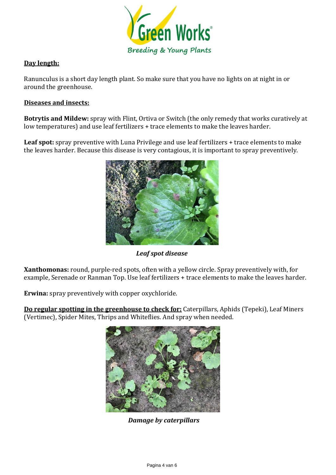

# **Day length:**

Ranunculus is a short day length plant. So make sure that you have no lights on at night in or around the greenhouse.

## **Diseases and insects:**

**Botrytis and Mildew:** spray with Flint, Ortiva or Switch (the only remedy that works curatively at low temperatures) and use leaf fertilizers + trace elements to make the leaves harder.

**Leaf spot:** spray preventive with Luna Privilege and use leaf fertilizers + trace elements to make the leaves harder. Because this disease is very contagious, it is important to spray preventively.



*Leaf spot disease*

**Xanthomonas:** round, purple-red spots, often with a yellow circle. Spray preventively with, for example, Serenade or Ranman Top. Use leaf fertilizers + trace elements to make the leaves harder.

**Erwina:** spray preventively with copper oxychloride.

**Do regular spotting in the greenhouse to check for:** Caterpillars, Aphids (Tepeki), Leaf Miners (Vertimec), Spider Mites, Thrips and Whiteflies. And spray when needed.



*Damage by caterpillars*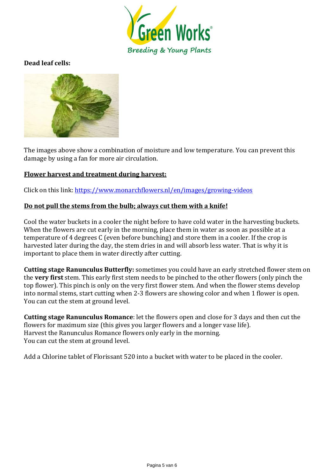

# **Dead leaf cells:**



The images above show a combination of moisture and low temperature. You can prevent this damage by using a fan for more air circulation.

#### **Flower harvest and treatment during harvest:**

Click on this link: [https://www.monarchflowers.nl/en/images/growing-videos](https://www.monarchflowers.nl/en/images/growing-videos/)

#### **Do not pull the stems from the bulb; always cut them with a knife!**

Cool the water buckets in a cooler the night before to have cold water in the harvesting buckets. When the flowers are cut early in the morning, place them in water as soon as possible at a temperature of 4 degrees C (even before bunching) and store them in a cooler. If the crop is harvested later during the day, the stem dries in and will absorb less water. That is why it is important to place them in water directly after cutting.

**Cutting stage Ranunculus Butterfly:** sometimes you could have an early stretched flower stem on the **very first** stem. This early first stem needs to be pinched to the other flowers (only pinch the top flower). This pinch is only on the very first flower stem. And when the flower stems develop into normal stems, start cutting when 2-3 flowers are showing color and when 1 flower is open. You can cut the stem at ground level.

**Cutting stage Ranunculus Romance**: let the flowers open and close for 3 days and then cut the flowers for maximum size (this gives you larger flowers and a longer vase life). Harvest the Ranunculus Romance flowers only early in the morning. You can cut the stem at ground level.

Add a Chlorine tablet of Florissant 520 into a bucket with water to be placed in the cooler.